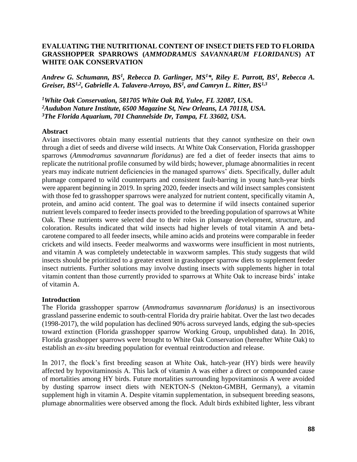## **EVALUATING THE NUTRITIONAL CONTENT OF INSECT DIETS FED TO FLORIDA GRASSHOPPER SPARROWS (***AMMODRAMUS SAVANNARUM FLORIDANUS***) AT WHITE OAK CONSERVATION**

*Andrew G. Schumann, BS<sup>1</sup> , Rebecca D. Garlinger, MS<sup>1</sup>\*, Riley E. Parrott, BS<sup>1</sup> , Rebecca A. Greiser, BS1,2 , Gabrielle A. Talavera-Arroyo, BS<sup>1</sup> , and Camryn L. Ritter, BS1,3*

*<sup>1</sup>White Oak Conservation, 581705 White Oak Rd, Yulee, FL 32087, USA. <sup>2</sup>Audubon Nature Institute, 6500 Magazine St, New Orleans, LA 70118, USA. <sup>3</sup>The Florida Aquarium, 701 Channelside Dr, Tampa, FL 33602, USA.*

#### **Abstract**

Avian insectivores obtain many essential nutrients that they cannot synthesize on their own through a diet of seeds and diverse wild insects. At White Oak Conservation, Florida grasshopper sparrows (*Ammodramus savannarum floridanus*) are fed a diet of feeder insects that aims to replicate the nutritional profile consumed by wild birds; however, plumage abnormalities in recent years may indicate nutrient deficiencies in the managed sparrows' diets. Specifically, duller adult plumage compared to wild counterparts and consistent fault-barring in young hatch-year birds were apparent beginning in 2019. In spring 2020, feeder insects and wild insect samples consistent with those fed to grasshopper sparrows were analyzed for nutrient content, specifically vitamin A, protein, and amino acid content. The goal was to determine if wild insects contained superior nutrient levels compared to feeder insects provided to the breeding population of sparrows at White Oak. These nutrients were selected due to their roles in plumage development, structure, and coloration. Results indicated that wild insects had higher levels of total vitamin A and betacarotene compared to all feeder insects, while amino acids and proteins were comparable in feeder crickets and wild insects. Feeder mealworms and waxworms were insufficient in most nutrients, and vitamin A was completely undetectable in waxworm samples. This study suggests that wild insects should be prioritized to a greater extent in grasshopper sparrow diets to supplement feeder insect nutrients. Further solutions may involve dusting insects with supplements higher in total vitamin content than those currently provided to sparrows at White Oak to increase birds' intake of vitamin A.

#### **Introduction**

The Florida grasshopper sparrow (*Ammodramus savannarum floridanus)* is an insectivorous grassland passerine endemic to south-central Florida dry prairie habitat. Over the last two decades (1998-2017), the wild population has declined 90% across surveyed lands, edging the sub-species toward extinction (Florida grasshopper sparrow Working Group, unpublished data). In 2016, Florida grasshopper sparrows were brought to White Oak Conservation (hereafter White Oak) to establish an *ex-situ* breeding population for eventual reintroduction and release.

In 2017, the flock's first breeding season at White Oak, hatch-year (HY) birds were heavily affected by hypovitaminosis A. This lack of vitamin A was either a direct or compounded cause of mortalities among HY birds. Future mortalities surrounding hypovitaminosis A were avoided by dusting sparrow insect diets with NEKTON-S (Nekton-GMBH, Germany), a vitamin supplement high in vitamin A. Despite vitamin supplementation, in subsequent breeding seasons, plumage abnormalities were observed among the flock. Adult birds exhibited lighter, less vibrant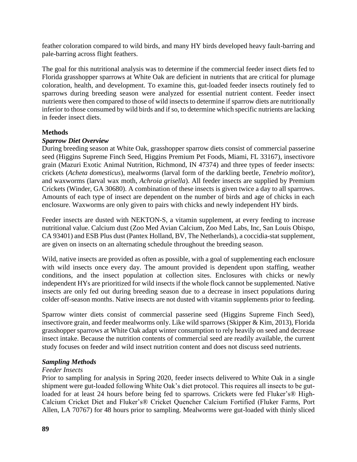feather coloration compared to wild birds, and many HY birds developed heavy fault-barring and pale-barring across flight feathers.

The goal for this nutritional analysis was to determine if the commercial feeder insect diets fed to Florida grasshopper sparrows at White Oak are deficient in nutrients that are critical for plumage coloration, health, and development. To examine this, gut-loaded feeder insects routinely fed to sparrows during breeding season were analyzed for essential nutrient content. Feeder insect nutrients were then compared to those of wild insects to determine if sparrow diets are nutritionally inferior to those consumed by wild birds and if so, to determine which specific nutrients are lacking in feeder insect diets.

## **Methods**

## *Sparrow Diet Overview*

During breeding season at White Oak, grasshopper sparrow diets consist of commercial passerine seed (Higgins Supreme Finch Seed, Higgins Premium Pet Foods, Miami, FL 33167), insectivore grain (Mazuri Exotic Animal Nutrition, Richmond, IN 47374) and three types of feeder insects: crickets (*Acheta domesticus*), mealworms (larval form of the darkling beetle, *Tenebrio molitor*), and waxworms (larval wax moth, *Achroia grisella*). All feeder insects are supplied by Premium Crickets (Winder, GA 30680). A combination of these insects is given twice a day to all sparrows. Amounts of each type of insect are dependent on the number of birds and age of chicks in each enclosure. Waxworms are only given to pairs with chicks and newly independent HY birds.

Feeder insects are dusted with NEKTON-S, a vitamin supplement, at every feeding to increase nutritional value. Calcium dust (Zoo Med Avian Calcium, Zoo Med Labs, Inc, San Louis Obispo, CA 93401) and ESB Plus dust (Pantex Holland, BV, The Netherlands), a coccidia-stat supplement, are given on insects on an alternating schedule throughout the breeding season.

Wild, native insects are provided as often as possible, with a goal of supplementing each enclosure with wild insects once every day. The amount provided is dependent upon staffing, weather conditions, and the insect population at collection sites. Enclosures with chicks or newly independent HYs are prioritized for wild insects if the whole flock cannot be supplemented. Native insects are only fed out during breeding season due to a decrease in insect populations during colder off-season months. Native insects are not dusted with vitamin supplements prior to feeding.

Sparrow winter diets consist of commercial passerine seed (Higgins Supreme Finch Seed), insectivore grain, and feeder mealworms only. Like wild sparrows (Skipper & Kim, 2013), Florida grasshopper sparrows at White Oak adapt winter consumption to rely heavily on seed and decrease insect intake. Because the nutrition contents of commercial seed are readily available, the current study focuses on feeder and wild insect nutrition content and does not discuss seed nutrients.

# *Sampling Methods*

# *Feeder Insects*

Prior to sampling for analysis in Spring 2020, feeder insects delivered to White Oak in a single shipment were gut-loaded following White Oak's diet protocol. This requires all insects to be gutloaded for at least 24 hours before being fed to sparrows. Crickets were fed Fluker's® High-Calcium Cricket Diet and Fluker's® Cricket Quencher Calcium Fortified (Fluker Farms, Port Allen, LA 70767) for 48 hours prior to sampling. Mealworms were gut-loaded with thinly sliced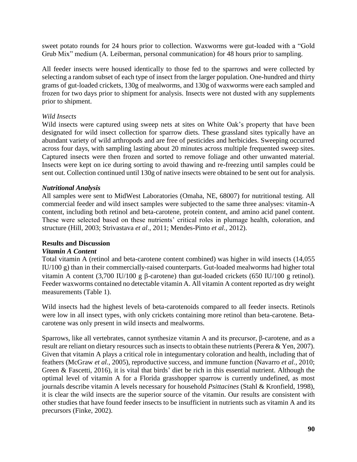sweet potato rounds for 24 hours prior to collection. Waxworms were gut-loaded with a "Gold Grub Mix" medium (A. Leiberman, personal communication) for 48 hours prior to sampling.

All feeder insects were housed identically to those fed to the sparrows and were collected by selecting a random subset of each type of insect from the larger population. One-hundred and thirty grams of gut-loaded crickets, 130g of mealworms, and 130g of waxworms were each sampled and frozen for two days prior to shipment for analysis. Insects were not dusted with any supplements prior to shipment.

## *Wild Insects*

Wild insects were captured using sweep nets at sites on White Oak's property that have been designated for wild insect collection for sparrow diets. These grassland sites typically have an abundant variety of wild arthropods and are free of pesticides and herbicides. Sweeping occurred across four days, with sampling lasting about 20 minutes across multiple frequented sweep sites. Captured insects were then frozen and sorted to remove foliage and other unwanted material. Insects were kept on ice during sorting to avoid thawing and re-freezing until samples could be sent out. Collection continued until 130g of native insects were obtained to be sent out for analysis.

## *Nutritional Analysis*

All samples were sent to MidWest Laboratories (Omaha, NE, 68007) for nutritional testing. All commercial feeder and wild insect samples were subjected to the same three analyses: vitamin-A content, including both retinol and beta-carotene, protein content, and amino acid panel content. These were selected based on these nutrients' critical roles in plumage health, coloration, and structure (Hill, 2003; Strivastava *et al*., 2011; Mendes-Pinto *et al.,* 2012).

## **Results and Discussion**

## *Vitamin A Content*

Total vitamin A (retinol and beta-carotene content combined) was higher in wild insects (14,055 IU/100 g) than in their commercially-raised counterparts. Gut-loaded mealworms had higher total vitamin A content  $(3,700 \text{ IU}/100 \text{ g} \beta$ -carotene) than gut-loaded crickets  $(650 \text{ IU}/100 \text{ g} \text{ retinol})$ . Feeder waxworms contained no detectable vitamin A. All vitamin A content reported as dry weight measurements (Table 1).

Wild insects had the highest levels of beta-carotenoids compared to all feeder insects. Retinols were low in all insect types, with only crickets containing more retinol than beta-carotene. Betacarotene was only present in wild insects and mealworms.

Sparrows, like all vertebrates, cannot synthesize vitamin A and its precursor,  $\beta$ -carotene, and as a result are reliant on dietary resources such as insects to obtain these nutrients (Perera & Yen, 2007). Given that vitamin A plays a critical role in integumentary coloration and health, including that of feathers (McGraw *et al.,* 2005), reproductive success, and immune function (Navarro *et al.,* 2010; Green & Fascetti, 2016), it is vital that birds' diet be rich in this essential nutrient. Although the optimal level of vitamin A for a Florida grasshopper sparrow is currently undefined, as most journals describe vitamin A levels necessary for household *Psittacines* (Stahl & Kronfield, 1998), it is clear the wild insects are the superior source of the vitamin. Our results are consistent with other studies that have found feeder insects to be insufficient in nutrients such as vitamin A and its precursors (Finke, 2002).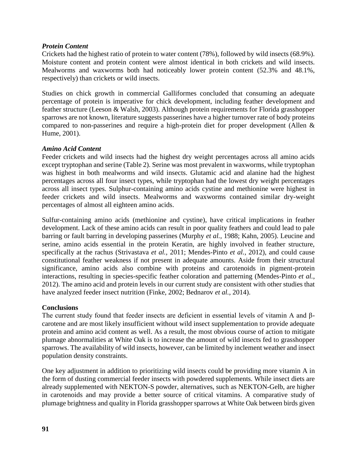## *Protein Content*

Crickets had the highest ratio of protein to water content (78%), followed by wild insects (68.9%). Moisture content and protein content were almost identical in both crickets and wild insects. Mealworms and waxworms both had noticeably lower protein content (52.3% and 48.1%, respectively) than crickets or wild insects.

Studies on chick growth in commercial Galliformes concluded that consuming an adequate percentage of protein is imperative for chick development, including feather development and feather structure (Leeson & Walsh, 2003). Although protein requirements for Florida grasshopper sparrows are not known, literature suggests passerines have a higher turnover rate of body proteins compared to non-passerines and require a high-protein diet for proper development (Allen & Hume, 2001).

## *Amino Acid Content*

Feeder crickets and wild insects had the highest dry weight percentages across all amino acids except tryptophan and serine (Table 2). Serine was most prevalent in waxworms, while tryptophan was highest in both mealworms and wild insects. Glutamic acid and alanine had the highest percentages across all four insect types, while tryptophan had the lowest dry weight percentages across all insect types. Sulphur-containing amino acids cystine and methionine were highest in feeder crickets and wild insects. Mealworms and waxworms contained similar dry-weight percentages of almost all eighteen amino acids.

Sulfur-containing amino acids (methionine and cystine), have critical implications in feather development. Lack of these amino acids can result in poor quality feathers and could lead to pale barring or fault barring in developing passerines (Murphy *et al.,* 1988; Kahn, 2005). Leucine and serine, amino acids essential in the protein Keratin, are highly involved in feather structure, specifically at the rachus (Strivastava *et al.,* 2011; Mendes-Pinto *et al.,* 2012), and could cause constitutional feather weakness if not present in adequate amounts. Aside from their structural significance, amino acids also combine with proteins and carotenoids in pigment-protein interactions, resulting in species-specific feather coloration and patterning (Mendes-Pinto *et al.*, 2012). The amino acid and protein levels in our current study are consistent with other studies that have analyzed feeder insect nutrition (Finke, 2002; Bednarov *et al.*, 2014).

# **Conclusions**

The current study found that feeder insects are deficient in essential levels of vitamin A and  $\beta$ carotene and are most likely insufficient without wild insect supplementation to provide adequate protein and amino acid content as well. As a result, the most obvious course of action to mitigate plumage abnormalities at White Oak is to increase the amount of wild insects fed to grasshopper sparrows. The availability of wild insects, however, can be limited by inclement weather and insect population density constraints.

One key adjustment in addition to prioritizing wild insects could be providing more vitamin A in the form of dusting commercial feeder insects with powdered supplements. While insect diets are already supplemented with NEKTON-S powder, alternatives, such as NEKTON-Gelb, are higher in carotenoids and may provide a better source of critical vitamins. A comparative study of plumage brightness and quality in Florida grasshopper sparrows at White Oak between birds given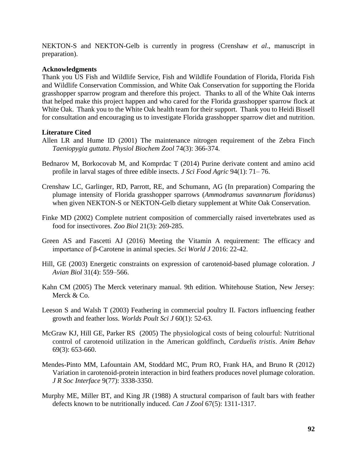NEKTON-S and NEKTON-Gelb is currently in progress (Crenshaw *et al*., manuscript in preparation).

#### **Acknowledgments**

Thank you US Fish and Wildlife Service, Fish and Wildlife Foundation of Florida, Florida Fish and Wildlife Conservation Commission, and White Oak Conservation for supporting the Florida grasshopper sparrow program and therefore this project. Thanks to all of the White Oak interns that helped make this project happen and who cared for the Florida grasshopper sparrow flock at White Oak. Thank you to the White Oak health team for their support. Thank you to Heidi Bissell for consultation and encouraging us to investigate Florida grasshopper sparrow diet and nutrition.

## **Literature Cited**

- Allen LR and Hume ID (2001) The maintenance nitrogen requirement of the Zebra Finch *Taeniopygia guttata*. *Physiol Biochem Zool* 74(3): 366-374.
- Bednarov M, Borkocovab M, and Komprdac T (2014) Purine derivate content and amino acid profile in larval stages of three edible insects. *J Sci Food Agric* 94(1): 71– 76.
- Crenshaw LC, Garlinger, RD, Parrott, RE, and Schumann, AG (In preparation) Comparing the plumage intensity of Florida grasshopper sparrows (*Ammodramus savannarum floridanus*) when given NEKTON-S or NEKTON-Gelb dietary supplement at White Oak Conservation.
- Finke MD (2002) Complete nutrient composition of commercially raised invertebrates used as food for insectivores. *Zoo Biol* 21(3): 269-285.
- Green AS and Fascetti AJ (2016) Meeting the Vitamin A requirement: The efficacy and importance of β-Carotene in animal species. *Sci World J* 2016: 22-42.
- Hill, GE (2003) Energetic constraints on expression of carotenoid-based plumage coloration. *J Avian Biol* 31(4): 559–566.
- Kahn CM (2005) The Merck veterinary manual. 9th edition. Whitehouse Station, New Jersey: Merck & Co.
- Leeson S and Walsh T (2003) Feathering in commercial poultry II. Factors influencing feather growth and feather loss. *Worlds Poult Sci J* 60(1): 52-63.
- McGraw KJ, Hill GE, Parker RS (2005) The physiological costs of being colourful: Nutritional control of carotenoid utilization in the American goldfinch, *Carduelis tristis*. *Anim Behav* 69(3): 653-660.
- Mendes-Pinto MM, Lafountain AM, Stoddard MC, Prum RO, Frank HA, and Bruno R (2012) Variation in carotenoid-protein interaction in bird feathers produces novel plumage coloration. *J R Soc Interface* 9(77): 3338-3350.
- Murphy ME, Miller BT, and King JR (1988) A structural comparison of fault bars with feather defects known to be nutritionally induced. *Can J Zool* 67(5): 1311-1317.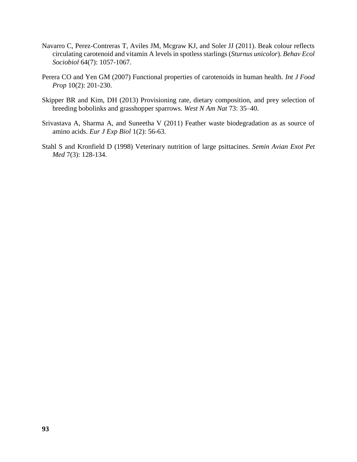- Navarro C, Perez-Contreras T, Aviles JM, Mcgraw KJ, and Soler JJ (2011). Beak colour reflects circulating carotenoid and vitamin A levels in spotless starlings (*Sturnus unicolor*). *Behav Ecol Sociobiol* 64(7): 1057-1067.
- Perera CO and Yen GM (2007) Functional properties of carotenoids in human health. *Int J Food Prop* 10(2): 201-230.
- Skipper BR and Kim, DH (2013) Provisioning rate, dietary composition, and prey selection of breeding bobolinks and grasshopper sparrows. *West N Am Nat* 73: 35–40.
- Srivastava A, Sharma A, and Suneetha V (2011) Feather waste biodegradation as as source of amino acids. *Eur J Exp Biol* 1(2): 56-63.
- Stahl S and Kronfield D (1998) Veterinary nutrition of large psittacines. *Semin Avian Exot Pet Med* 7(3): 128-134.